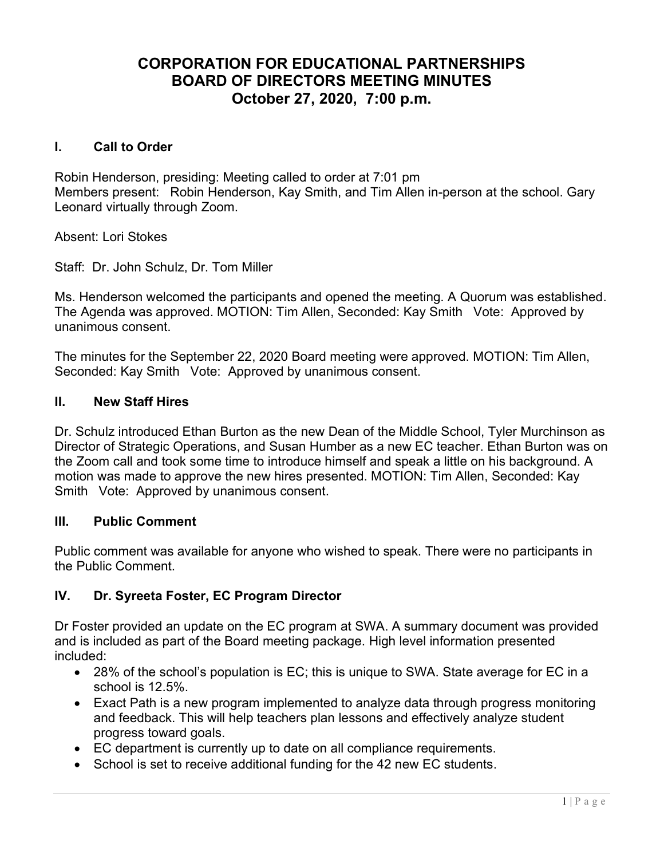# CORPORATION FOR EDUCATIONAL PARTNERSHIPS BOARD OF DIRECTORS MEETING MINUTES October 27, 2020, 7:00 p.m.

#### I. Call to Order

Robin Henderson, presiding: Meeting called to order at 7:01 pm Members present: Robin Henderson, Kay Smith, and Tim Allen in-person at the school. Gary Leonard virtually through Zoom.

Absent: Lori Stokes

Staff: Dr. John Schulz, Dr. Tom Miller

Ms. Henderson welcomed the participants and opened the meeting. A Quorum was established. The Agenda was approved. MOTION: Tim Allen, Seconded: Kay Smith Vote: Approved by unanimous consent.

The minutes for the September 22, 2020 Board meeting were approved. MOTION: Tim Allen, Seconded: Kay Smith Vote: Approved by unanimous consent.

#### II. New Staff Hires

Dr. Schulz introduced Ethan Burton as the new Dean of the Middle School, Tyler Murchinson as Director of Strategic Operations, and Susan Humber as a new EC teacher. Ethan Burton was on the Zoom call and took some time to introduce himself and speak a little on his background. A motion was made to approve the new hires presented. MOTION: Tim Allen, Seconded: Kay Smith Vote: Approved by unanimous consent.

#### III. Public Comment

Public comment was available for anyone who wished to speak. There were no participants in the Public Comment.

#### IV. Dr. Syreeta Foster, EC Program Director

Dr Foster provided an update on the EC program at SWA. A summary document was provided and is included as part of the Board meeting package. High level information presented included:

- 28% of the school's population is EC; this is unique to SWA. State average for EC in a school is 12.5%.
- Exact Path is a new program implemented to analyze data through progress monitoring and feedback. This will help teachers plan lessons and effectively analyze student progress toward goals.
- EC department is currently up to date on all compliance requirements.
- School is set to receive additional funding for the 42 new EC students.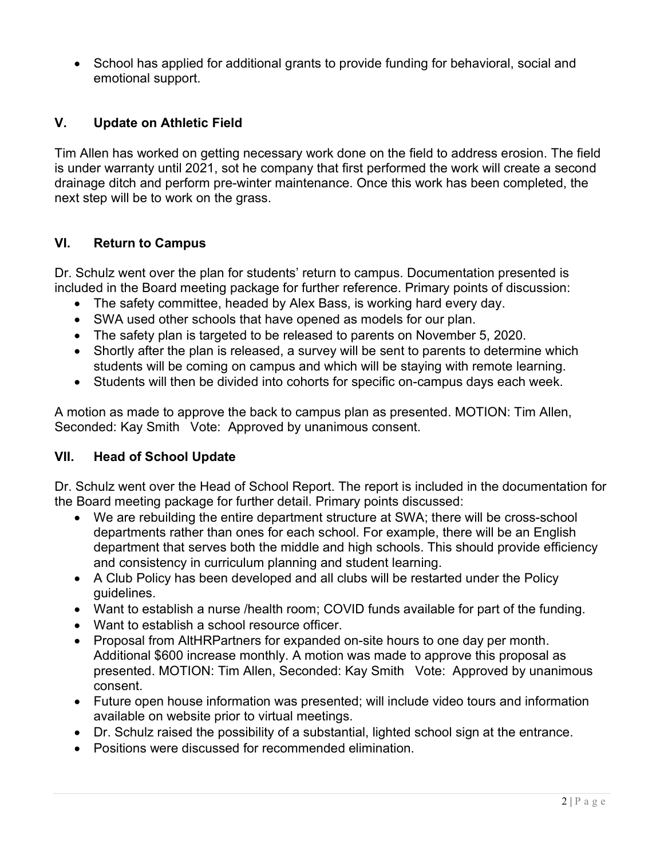• School has applied for additional grants to provide funding for behavioral, social and emotional support.

# V. Update on Athletic Field

Tim Allen has worked on getting necessary work done on the field to address erosion. The field is under warranty until 2021, sot he company that first performed the work will create a second drainage ditch and perform pre-winter maintenance. Once this work has been completed, the next step will be to work on the grass.

# VI. Return to Campus

Dr. Schulz went over the plan for students' return to campus. Documentation presented is included in the Board meeting package for further reference. Primary points of discussion:

- The safety committee, headed by Alex Bass, is working hard every day.
- SWA used other schools that have opened as models for our plan.
- The safety plan is targeted to be released to parents on November 5, 2020.
- Shortly after the plan is released, a survey will be sent to parents to determine which students will be coming on campus and which will be staying with remote learning.
- Students will then be divided into cohorts for specific on-campus days each week.

A motion as made to approve the back to campus plan as presented. MOTION: Tim Allen, Seconded: Kay Smith Vote: Approved by unanimous consent.

#### VII. Head of School Update

Dr. Schulz went over the Head of School Report. The report is included in the documentation for the Board meeting package for further detail. Primary points discussed:

- We are rebuilding the entire department structure at SWA; there will be cross-school departments rather than ones for each school. For example, there will be an English department that serves both the middle and high schools. This should provide efficiency and consistency in curriculum planning and student learning.
- A Club Policy has been developed and all clubs will be restarted under the Policy guidelines.
- Want to establish a nurse /health room; COVID funds available for part of the funding.
- Want to establish a school resource officer.
- Proposal from AltHRPartners for expanded on-site hours to one day per month. Additional \$600 increase monthly. A motion was made to approve this proposal as presented. MOTION: Tim Allen, Seconded: Kay Smith Vote: Approved by unanimous consent.
- Future open house information was presented; will include video tours and information available on website prior to virtual meetings.
- Dr. Schulz raised the possibility of a substantial, lighted school sign at the entrance.
- Positions were discussed for recommended elimination.